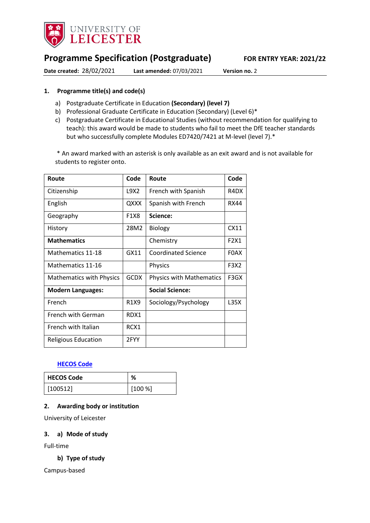

# **Programme Specification (Postgraduate) FOR ENTRY YEAR: 2021/22**

**Date created:** 28/02/2021 **Last amended:** 07/03/2021 **Version no.** 2

### <span id="page-0-0"></span>**1. Programme title(s) and code(s)**

- a) Postgraduate Certificate in Education **(Secondary) (level 7)**
- b) Professional Graduate Certificate in Education (Secondary) (Level 6)\*
- c) Postgraduate Certificate in Educational Studies (without recommendation for qualifying to teach): this award would be made to students who fail to meet the DfE teacher standards but who successfully complete Modules ED7420/7421 at M-level (level 7).\*

\* An award marked with an asterisk is only available as an exit award and is not available for students to register onto.

| Route                           | Code        | Route                           | Code        |
|---------------------------------|-------------|---------------------------------|-------------|
| Citizenship                     | L9X2        | French with Spanish             | R4DX        |
| English                         | QXXX        | Spanish with French             | <b>RX44</b> |
| Geography                       | <b>F1X8</b> | Science:                        |             |
| History                         | 28M2        | <b>Biology</b>                  | CX11        |
| <b>Mathematics</b>              |             | Chemistry                       | F2X1        |
| Mathematics 11-18               | GX11        | <b>Coordinated Science</b>      | <b>FOAX</b> |
| Mathematics 11-16               |             | Physics                         | F3X2        |
| <b>Mathematics with Physics</b> | <b>GCDX</b> | <b>Physics with Mathematics</b> | F3GX        |
| <b>Modern Languages:</b>        |             | <b>Social Science:</b>          |             |
| French                          | R1X9        | Sociology/Psychology            | L35X        |
| <b>French with German</b>       | RDX1        |                                 |             |
| French with Italian             | RCX1        |                                 |             |
| <b>Religious Education</b>      | 2FYY        |                                 |             |

## **[HECOS Code](https://www.hesa.ac.uk/innovation/hecos)**

| <b>HECOS Code</b> | ℅      |
|-------------------|--------|
| [100512]          | [100%] |

### **2. Awarding body or institution**

University of Leicester

### **3. a) Mode of study**

Full-time

### **b) Type of study**

Campus-based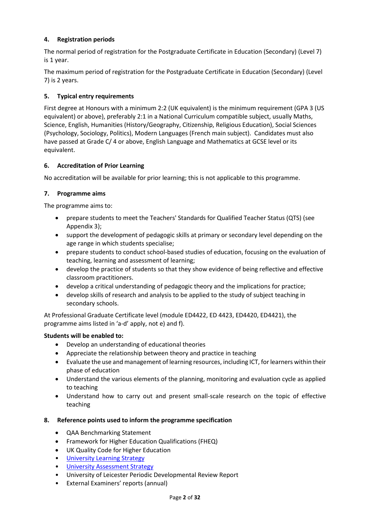# **4. Registration periods**

The normal period of registration for the Postgraduate Certificate in Education (Secondary) (Level 7) is 1 year.

The maximum period of registration for the Postgraduate Certificate in Education (Secondary) (Level 7) is 2 years.

# **5. Typical entry requirements**

First degree at Honours with a minimum 2:2 (UK equivalent) is the minimum requirement (GPA 3 (US equivalent) or above), preferably 2:1 in a National Curriculum compatible subject, usually Maths, Science, English, Humanities (History/Geography, Citizenship, Religious Education), Social Sciences (Psychology, Sociology, Politics), Modern Languages (French main subject). Candidates must also have passed at Grade C/ 4 or above, English Language and Mathematics at GCSE level or its equivalent.

## **6. Accreditation of Prior Learning**

No accreditation will be available for prior learning; this is not applicable to this programme.

# **7. Programme aims**

The programme aims to:

- prepare students to meet the Teachers' Standards for Qualified Teacher Status (QTS) (see Appendix 3);
- support the development of pedagogic skills at primary or secondary level depending on the age range in which students specialise;
- prepare students to conduct school-based studies of education, focusing on the evaluation of teaching, learning and assessment of learning;
- develop the practice of students so that they show evidence of being reflective and effective classroom practitioners.
- develop a critical understanding of pedagogic theory and the implications for practice;
- develop skills of research and analysis to be applied to the study of subject teaching in secondary schools.

At Professional Graduate Certificate level (module ED4422, ED 4423, ED4420, ED4421), the programme aims listed in 'a-d' apply, not e) and f).

## **Students will be enabled to:**

- Develop an understanding of educational theories
- Appreciate the relationship between theory and practice in teaching
- Evaluate the use and management of learning resources, including ICT, for learners within their phase of education
- Understand the various elements of the planning, monitoring and evaluation cycle as applied to teaching
- Understand how to carry out and present small-scale research on the topic of effective teaching

## **8. Reference points used to inform the programme specification**

- QAA Benchmarking Statement
- Framework for Higher Education Qualifications (FHEQ)
- UK Quality Code for Higher Education
- [University Learning](https://www2.le.ac.uk/offices/sas2/quality/learnteach) Strategy
- [University Assessment Strategy](https://www2.le.ac.uk/offices/sas2/quality/learnteach)
- University of Leicester Periodic Developmental Review Report
- External Examiners' reports (annual)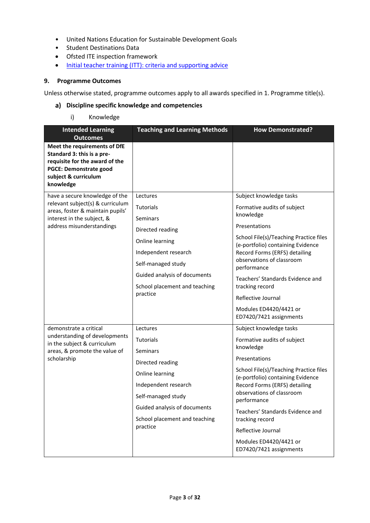- United Nations Education for Sustainable Development Goals
- Student Destinations Data
- Ofsted ITE inspection framework
- [Initial teacher training \(ITT\): criteria and supporting advice](https://www.gov.uk/government/publications/initial-teacher-training-criteria/initial-teacher-training-itt-criteria-and-supporting-advice)

### **9. Programme Outcomes**

Unless otherwise stated, programme outcomes apply to all awards specified in [1.](#page-0-0) Programme title(s).

### **Discipline specific knowledge and competencies**

i) Knowledge

| <b>Intended Learning</b><br><b>Outcomes</b>                                                                                                                        | <b>Teaching and Learning Methods</b>                                                                                                                                                                              | <b>How Demonstrated?</b>                                                                                                                                                                                                                                                                                                                                                           |
|--------------------------------------------------------------------------------------------------------------------------------------------------------------------|-------------------------------------------------------------------------------------------------------------------------------------------------------------------------------------------------------------------|------------------------------------------------------------------------------------------------------------------------------------------------------------------------------------------------------------------------------------------------------------------------------------------------------------------------------------------------------------------------------------|
| Meet the requirements of DfE<br>Standard 3: this is a pre-<br>requisite for the award of the<br><b>PGCE: Demonstrate good</b><br>subject & curriculum<br>knowledge |                                                                                                                                                                                                                   |                                                                                                                                                                                                                                                                                                                                                                                    |
| have a secure knowledge of the<br>relevant subject(s) & curriculum<br>areas, foster & maintain pupils'<br>interest in the subject, &<br>address misunderstandings  | Lectures<br><b>Tutorials</b><br><b>Seminars</b><br>Directed reading<br>Online learning<br>Independent research<br>Self-managed study<br>Guided analysis of documents<br>School placement and teaching<br>practice | Subject knowledge tasks<br>Formative audits of subject<br>knowledge<br>Presentations<br>School File(s)/Teaching Practice files<br>(e-portfolio) containing Evidence<br>Record Forms (ERFS) detailing<br>observations of classroom<br>performance<br>Teachers' Standards Evidence and<br>tracking record<br>Reflective Journal<br>Modules ED4420/4421 or<br>ED7420/7421 assignments |
| demonstrate a critical<br>understanding of developments<br>in the subject & curriculum<br>areas, & promote the value of<br>scholarship                             | Lectures<br><b>Tutorials</b><br><b>Seminars</b><br>Directed reading<br>Online learning<br>Independent research<br>Self-managed study<br>Guided analysis of documents<br>School placement and teaching<br>practice | Subject knowledge tasks<br>Formative audits of subject<br>knowledge<br>Presentations<br>School File(s)/Teaching Practice files<br>(e-portfolio) containing Evidence<br>Record Forms (ERFS) detailing<br>observations of classroom<br>performance<br>Teachers' Standards Evidence and<br>tracking record<br>Reflective Journal<br>Modules ED4420/4421 or<br>ED7420/7421 assignments |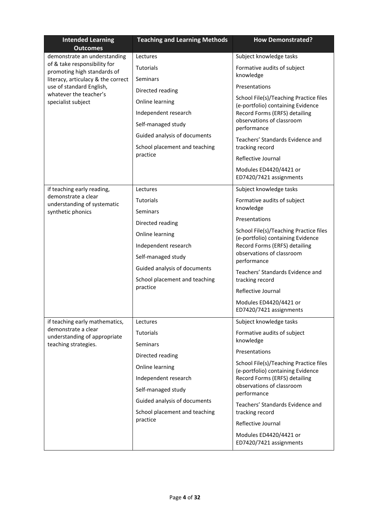| <b>Intended Learning</b><br><b>Outcomes</b>                 | <b>Teaching and Learning Methods</b> | <b>How Demonstrated?</b>                                                    |
|-------------------------------------------------------------|--------------------------------------|-----------------------------------------------------------------------------|
| demonstrate an understanding                                | Lectures                             | Subject knowledge tasks                                                     |
| of & take responsibility for<br>promoting high standards of | <b>Tutorials</b>                     | Formative audits of subject                                                 |
| literacy, articulacy & the correct                          | Seminars                             | knowledge                                                                   |
| use of standard English,<br>whatever the teacher's          | Directed reading                     | Presentations                                                               |
| specialist subject                                          | Online learning                      | School File(s)/Teaching Practice files<br>(e-portfolio) containing Evidence |
|                                                             | Independent research                 | Record Forms (ERFS) detailing                                               |
|                                                             | Self-managed study                   | observations of classroom<br>performance                                    |
|                                                             | Guided analysis of documents         | Teachers' Standards Evidence and                                            |
|                                                             | School placement and teaching        | tracking record                                                             |
|                                                             | practice                             | Reflective Journal                                                          |
|                                                             |                                      | Modules ED4420/4421 or<br>ED7420/7421 assignments                           |
| if teaching early reading,                                  | Lectures                             | Subject knowledge tasks                                                     |
| demonstrate a clear<br>understanding of systematic          | <b>Tutorials</b>                     | Formative audits of subject                                                 |
| synthetic phonics                                           | Seminars                             | knowledge                                                                   |
|                                                             | Directed reading                     | Presentations                                                               |
|                                                             | Online learning                      | School File(s)/Teaching Practice files<br>(e-portfolio) containing Evidence |
|                                                             | Independent research                 | Record Forms (ERFS) detailing                                               |
|                                                             | Self-managed study                   | observations of classroom<br>performance                                    |
|                                                             | Guided analysis of documents         | Teachers' Standards Evidence and                                            |
|                                                             | School placement and teaching        | tracking record                                                             |
|                                                             | practice                             | Reflective Journal                                                          |
|                                                             |                                      | Modules ED4420/4421 or<br>ED7420/7421 assignments                           |
| if teaching early mathematics,                              | Lectures                             | Subject knowledge tasks                                                     |
| demonstrate a clear<br>understanding of appropriate         | Tutorials                            | Formative audits of subject                                                 |
| teaching strategies.                                        | Seminars                             | knowledge                                                                   |
|                                                             | Directed reading                     | Presentations                                                               |
|                                                             | Online learning                      | School File(s)/Teaching Practice files<br>(e-portfolio) containing Evidence |
|                                                             | Independent research                 | Record Forms (ERFS) detailing                                               |
|                                                             | Self-managed study                   | observations of classroom<br>performance                                    |
|                                                             | Guided analysis of documents         | Teachers' Standards Evidence and                                            |
|                                                             | School placement and teaching        | tracking record                                                             |
|                                                             | practice                             | Reflective Journal                                                          |
|                                                             |                                      | Modules ED4420/4421 or<br>ED7420/7421 assignments                           |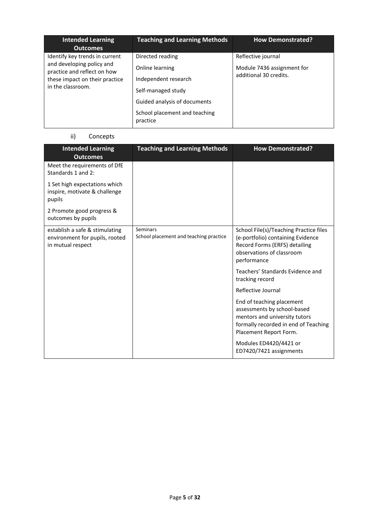| <b>Intended Learning</b><br><b>Outcomes</b>                                                                                                       | <b>Teaching and Learning Methods</b>                                                                                                                           | <b>How Demonstrated?</b>                                                   |
|---------------------------------------------------------------------------------------------------------------------------------------------------|----------------------------------------------------------------------------------------------------------------------------------------------------------------|----------------------------------------------------------------------------|
| Identify key trends in current<br>and developing policy and<br>practice and reflect on how<br>these impact on their practice<br>in the classroom. | Directed reading<br>Online learning<br>Independent research<br>Self-managed study<br>Guided analysis of documents<br>School placement and teaching<br>practice | Reflective journal<br>Module 7436 assignment for<br>additional 30 credits. |

# ii) Concepts

| <b>Intended Learning</b><br><b>Outcomes</b>                                           | <b>Teaching and Learning Methods</b>               | <b>How Demonstrated?</b>                                                                                                                                    |
|---------------------------------------------------------------------------------------|----------------------------------------------------|-------------------------------------------------------------------------------------------------------------------------------------------------------------|
| Meet the requirements of DfE<br>Standards 1 and 2:                                    |                                                    |                                                                                                                                                             |
| 1 Set high expectations which<br>inspire, motivate & challenge<br>pupils              |                                                    |                                                                                                                                                             |
| 2 Promote good progress &<br>outcomes by pupils                                       |                                                    |                                                                                                                                                             |
| establish a safe & stimulating<br>environment for pupils, rooted<br>in mutual respect | Seminars<br>School placement and teaching practice | School File(s)/Teaching Practice files<br>(e-portfolio) containing Evidence<br>Record Forms (ERFS) detailing<br>observations of classroom<br>performance    |
|                                                                                       |                                                    | Teachers' Standards Evidence and<br>tracking record                                                                                                         |
|                                                                                       |                                                    | Reflective Journal                                                                                                                                          |
|                                                                                       |                                                    | End of teaching placement<br>assessments by school-based<br>mentors and university tutors<br>formally recorded in end of Teaching<br>Placement Report Form. |
|                                                                                       |                                                    | Modules ED4420/4421 or<br>ED7420/7421 assignments                                                                                                           |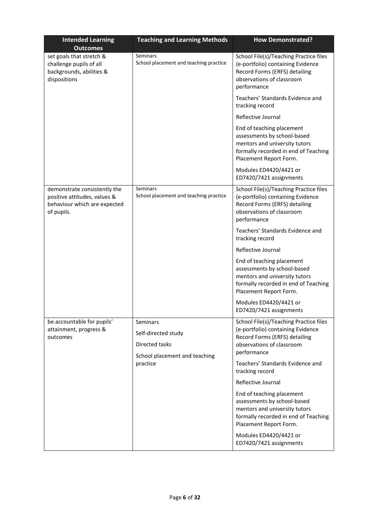| <b>Intended Learning</b><br><b>Outcomes</b>                                                                           | <b>Teaching and Learning Methods</b>               | <b>How Demonstrated?</b>                                                                                                                                    |
|-----------------------------------------------------------------------------------------------------------------------|----------------------------------------------------|-------------------------------------------------------------------------------------------------------------------------------------------------------------|
| set goals that stretch &<br>challenge pupils of all<br>backgrounds, abilities &<br>dispositions                       | Seminars<br>School placement and teaching practice | School File(s)/Teaching Practice files<br>(e-portfolio) containing Evidence<br>Record Forms (ERFS) detailing<br>observations of classroom<br>performance    |
|                                                                                                                       |                                                    | Teachers' Standards Evidence and<br>tracking record                                                                                                         |
|                                                                                                                       |                                                    | Reflective Journal                                                                                                                                          |
|                                                                                                                       |                                                    | End of teaching placement<br>assessments by school-based<br>mentors and university tutors<br>formally recorded in end of Teaching<br>Placement Report Form. |
|                                                                                                                       |                                                    | Modules ED4420/4421 or<br>ED7420/7421 assignments                                                                                                           |
| demonstrate consistently the<br>positive attitudes, values &<br>behaviour which are expected<br>of pupils.            | Seminars<br>School placement and teaching practice | School File(s)/Teaching Practice files<br>(e-portfolio) containing Evidence<br>Record Forms (ERFS) detailing<br>observations of classroom<br>performance    |
|                                                                                                                       |                                                    | Teachers' Standards Evidence and<br>tracking record                                                                                                         |
|                                                                                                                       |                                                    | Reflective Journal                                                                                                                                          |
|                                                                                                                       |                                                    | End of teaching placement<br>assessments by school-based<br>mentors and university tutors<br>formally recorded in end of Teaching<br>Placement Report Form. |
|                                                                                                                       |                                                    | Modules ED4420/4421 or<br>ED7420/7421 assignments                                                                                                           |
| be accountable for pupils'<br>Seminars<br>attainment, progress &<br>Self-directed study<br>outcomes<br>Directed tasks | School placement and teaching                      | School File(s)/Teaching Practice files<br>(e-portfolio) containing Evidence<br>Record Forms (ERFS) detailing<br>observations of classroom<br>performance    |
|                                                                                                                       | practice                                           | Teachers' Standards Evidence and<br>tracking record                                                                                                         |
|                                                                                                                       |                                                    | Reflective Journal                                                                                                                                          |
|                                                                                                                       |                                                    | End of teaching placement<br>assessments by school-based<br>mentors and university tutors<br>formally recorded in end of Teaching<br>Placement Report Form. |
|                                                                                                                       |                                                    | Modules ED4420/4421 or<br>ED7420/7421 assignments                                                                                                           |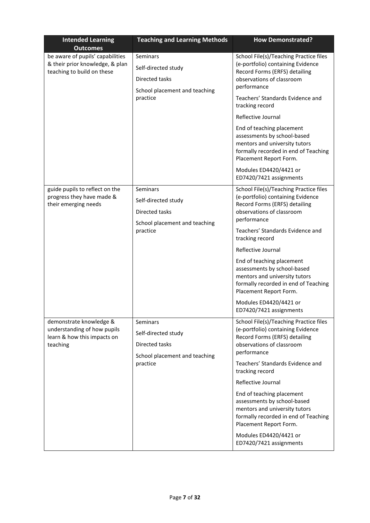| <b>Intended Learning</b><br><b>Outcomes</b>                                                       | <b>Teaching and Learning Methods</b>                                                                  | <b>How Demonstrated?</b>                                                                                                                                                                                                                                                                                                                                                                                                                                                             |
|---------------------------------------------------------------------------------------------------|-------------------------------------------------------------------------------------------------------|--------------------------------------------------------------------------------------------------------------------------------------------------------------------------------------------------------------------------------------------------------------------------------------------------------------------------------------------------------------------------------------------------------------------------------------------------------------------------------------|
| be aware of pupils' capabilities<br>& their prior knowledge, & plan<br>teaching to build on these | Seminars<br>Self-directed study<br>Directed tasks<br>School placement and teaching<br>practice        | School File(s)/Teaching Practice files<br>(e-portfolio) containing Evidence<br>Record Forms (ERFS) detailing<br>observations of classroom<br>performance<br>Teachers' Standards Evidence and<br>tracking record<br>Reflective Journal<br>End of teaching placement<br>assessments by school-based<br>mentors and university tutors<br>formally recorded in end of Teaching<br>Placement Report Form.<br>Modules ED4420/4421 or                                                       |
| guide pupils to reflect on the<br>progress they have made &<br>their emerging needs               | Seminars<br>Self-directed study<br><b>Directed tasks</b><br>School placement and teaching<br>practice | ED7420/7421 assignments<br>School File(s)/Teaching Practice files<br>(e-portfolio) containing Evidence<br>Record Forms (ERFS) detailing<br>observations of classroom<br>performance<br>Teachers' Standards Evidence and<br>tracking record<br>Reflective Journal<br>End of teaching placement<br>assessments by school-based<br>mentors and university tutors<br>formally recorded in end of Teaching<br>Placement Report Form.<br>Modules ED4420/4421 or<br>ED7420/7421 assignments |
| demonstrate knowledge &<br>understanding of how pupils<br>learn & how this impacts on<br>teaching | Seminars<br>Self-directed study<br>Directed tasks<br>School placement and teaching<br>practice        | School File(s)/Teaching Practice files<br>(e-portfolio) containing Evidence<br>Record Forms (ERFS) detailing<br>observations of classroom<br>performance<br>Teachers' Standards Evidence and<br>tracking record<br>Reflective Journal<br>End of teaching placement<br>assessments by school-based<br>mentors and university tutors<br>formally recorded in end of Teaching<br>Placement Report Form.<br>Modules ED4420/4421 or<br>ED7420/7421 assignments                            |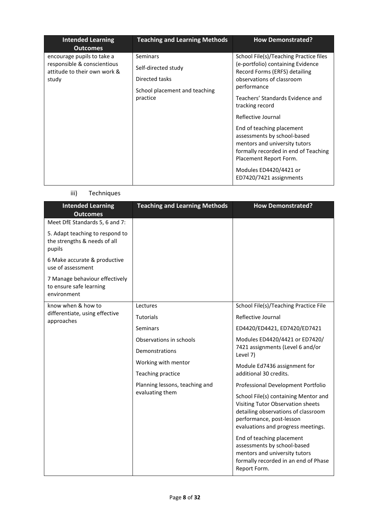| <b>Intended Learning</b><br><b>Outcomes</b>                                                        | <b>Teaching and Learning Methods</b>                                                                  | <b>How Demonstrated?</b>                                                                                                                                                                                                                                                                                                                                                                                                                                  |
|----------------------------------------------------------------------------------------------------|-------------------------------------------------------------------------------------------------------|-----------------------------------------------------------------------------------------------------------------------------------------------------------------------------------------------------------------------------------------------------------------------------------------------------------------------------------------------------------------------------------------------------------------------------------------------------------|
| encourage pupils to take a<br>responsible & conscientious<br>attitude to their own work &<br>study | <b>Seminars</b><br>Self-directed study<br>Directed tasks<br>School placement and teaching<br>practice | School File(s)/Teaching Practice files<br>(e-portfolio) containing Evidence<br>Record Forms (ERFS) detailing<br>observations of classroom<br>performance<br>Teachers' Standards Evidence and<br>tracking record<br>Reflective Journal<br>End of teaching placement<br>assessments by school-based<br>mentors and university tutors<br>formally recorded in end of Teaching<br>Placement Report Form.<br>Modules ED4420/4421 or<br>ED7420/7421 assignments |

# iii) Techniques

| <b>Intended Learning</b><br><b>Outcomes</b>                               | <b>Teaching and Learning Methods</b> | <b>How Demonstrated?</b>                                                                                                                                                           |
|---------------------------------------------------------------------------|--------------------------------------|------------------------------------------------------------------------------------------------------------------------------------------------------------------------------------|
| Meet DfE Standards 5, 6 and 7:                                            |                                      |                                                                                                                                                                                    |
| 5. Adapt teaching to respond to<br>the strengths & needs of all<br>pupils |                                      |                                                                                                                                                                                    |
| 6 Make accurate & productive<br>use of assessment                         |                                      |                                                                                                                                                                                    |
| 7 Manage behaviour effectively<br>to ensure safe learning<br>environment  |                                      |                                                                                                                                                                                    |
| know when & how to                                                        | Lectures                             | School File(s)/Teaching Practice File                                                                                                                                              |
| differentiate, using effective<br>approaches                              | <b>Tutorials</b>                     | Reflective Journal                                                                                                                                                                 |
|                                                                           | Seminars                             | ED4420/ED4421, ED7420/ED7421                                                                                                                                                       |
|                                                                           | Observations in schools              | Modules ED4420/4421 or ED7420/                                                                                                                                                     |
|                                                                           | Demonstrations                       | 7421 assignments (Level 6 and/or<br>Level 7)                                                                                                                                       |
|                                                                           | Working with mentor                  | Module Ed7436 assignment for                                                                                                                                                       |
|                                                                           | Teaching practice                    | additional 30 credits.                                                                                                                                                             |
|                                                                           | Planning lessons, teaching and       | Professional Development Portfolio                                                                                                                                                 |
|                                                                           | evaluating them                      | School File(s) containing Mentor and<br>Visiting Tutor Observation sheets<br>detailing observations of classroom<br>performance, post-lesson<br>evaluations and progress meetings. |
|                                                                           |                                      | End of teaching placement<br>assessments by school-based<br>mentors and university tutors<br>formally recorded in an end of Phase<br>Report Form.                                  |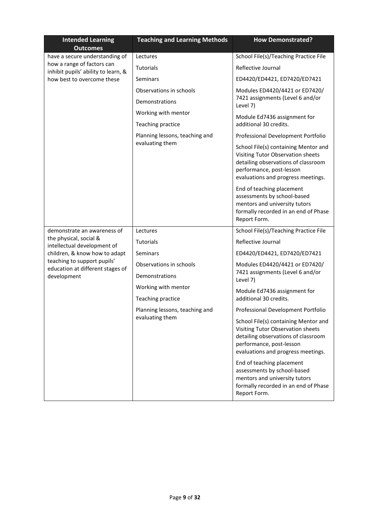| <b>Intended Learning</b><br><b>Outcomes</b>                       | <b>Teaching and Learning Methods</b> | <b>How Demonstrated?</b>                                                                                                                                                           |
|-------------------------------------------------------------------|--------------------------------------|------------------------------------------------------------------------------------------------------------------------------------------------------------------------------------|
| have a secure understanding of                                    | Lectures                             | School File(s)/Teaching Practice File                                                                                                                                              |
| how a range of factors can<br>inhibit pupils' ability to learn, & | Tutorials                            | Reflective Journal                                                                                                                                                                 |
| how best to overcome these                                        | Seminars                             | ED4420/ED4421, ED7420/ED7421                                                                                                                                                       |
|                                                                   | Observations in schools              | Modules ED4420/4421 or ED7420/                                                                                                                                                     |
|                                                                   | Demonstrations                       | 7421 assignments (Level 6 and/or<br>Level 7)                                                                                                                                       |
|                                                                   | Working with mentor                  | Module Ed7436 assignment for                                                                                                                                                       |
|                                                                   | Teaching practice                    | additional 30 credits.                                                                                                                                                             |
|                                                                   | Planning lessons, teaching and       | Professional Development Portfolio                                                                                                                                                 |
|                                                                   | evaluating them                      | School File(s) containing Mentor and<br>Visiting Tutor Observation sheets<br>detailing observations of classroom<br>performance, post-lesson<br>evaluations and progress meetings. |
|                                                                   |                                      | End of teaching placement<br>assessments by school-based<br>mentors and university tutors<br>formally recorded in an end of Phase<br>Report Form.                                  |
| demonstrate an awareness of                                       | Lectures                             | School File(s)/Teaching Practice File                                                                                                                                              |
| the physical, social &<br>intellectual development of             | Tutorials                            | Reflective Journal                                                                                                                                                                 |
| children, & know how to adapt                                     | <b>Seminars</b>                      | ED4420/ED4421, ED7420/ED7421                                                                                                                                                       |
| teaching to support pupils'<br>education at different stages of   | Observations in schools              | Modules ED4420/4421 or ED7420/                                                                                                                                                     |
| development                                                       | Demonstrations                       | 7421 assignments (Level 6 and/or<br>Level 7)                                                                                                                                       |
|                                                                   | Working with mentor                  | Module Ed7436 assignment for                                                                                                                                                       |
|                                                                   | Teaching practice                    | additional 30 credits.                                                                                                                                                             |
|                                                                   | Planning lessons, teaching and       | Professional Development Portfolio                                                                                                                                                 |
|                                                                   | evaluating them                      | School File(s) containing Mentor and<br>Visiting Tutor Observation sheets<br>detailing observations of classroom<br>performance, post-lesson<br>evaluations and progress meetings. |
|                                                                   |                                      | End of teaching placement<br>assessments by school-based<br>mentors and university tutors<br>formally recorded in an end of Phase<br>Report Form.                                  |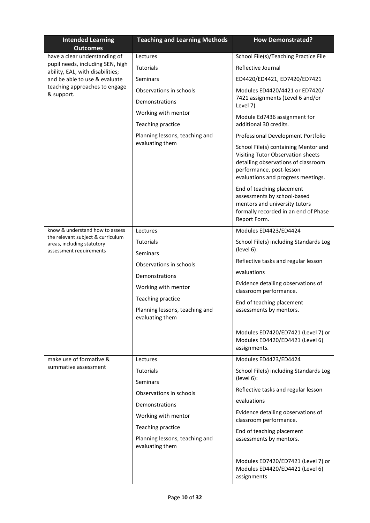| <b>Intended Learning</b><br><b>Outcomes</b>                                                           | <b>Teaching and Learning Methods</b>              | <b>How Demonstrated?</b>                                                                                                                                                           |
|-------------------------------------------------------------------------------------------------------|---------------------------------------------------|------------------------------------------------------------------------------------------------------------------------------------------------------------------------------------|
| have a clear understanding of                                                                         | Lectures                                          | School File(s)/Teaching Practice File                                                                                                                                              |
| pupil needs, including SEN, high<br>ability, EAL, with disabilities;<br>and be able to use & evaluate | Tutorials                                         | Reflective Journal                                                                                                                                                                 |
|                                                                                                       | Seminars                                          | ED4420/ED4421, ED7420/ED7421                                                                                                                                                       |
| teaching approaches to engage<br>& support.                                                           | Observations in schools                           | Modules ED4420/4421 or ED7420/                                                                                                                                                     |
|                                                                                                       | Demonstrations                                    | 7421 assignments (Level 6 and/or<br>Level 7)                                                                                                                                       |
|                                                                                                       | Working with mentor                               | Module Ed7436 assignment for                                                                                                                                                       |
|                                                                                                       | Teaching practice                                 | additional 30 credits.                                                                                                                                                             |
|                                                                                                       | Planning lessons, teaching and                    | Professional Development Portfolio                                                                                                                                                 |
|                                                                                                       | evaluating them                                   | School File(s) containing Mentor and<br>Visiting Tutor Observation sheets<br>detailing observations of classroom<br>performance, post-lesson<br>evaluations and progress meetings. |
|                                                                                                       |                                                   | End of teaching placement<br>assessments by school-based<br>mentors and university tutors<br>formally recorded in an end of Phase<br>Report Form.                                  |
| know & understand how to assess                                                                       | Lectures                                          | Modules ED4423/ED4424                                                                                                                                                              |
| the relevant subject & curriculum<br>areas, including statutory                                       | Tutorials                                         | School File(s) including Standards Log                                                                                                                                             |
| assessment requirements                                                                               | <b>Seminars</b>                                   | (level 6):                                                                                                                                                                         |
|                                                                                                       | Observations in schools                           | Reflective tasks and regular lesson                                                                                                                                                |
|                                                                                                       | Demonstrations                                    | evaluations                                                                                                                                                                        |
|                                                                                                       | Working with mentor                               | Evidence detailing observations of<br>classroom performance.                                                                                                                       |
|                                                                                                       | Teaching practice                                 | End of teaching placement                                                                                                                                                          |
|                                                                                                       | Planning lessons, teaching and<br>evaluating them | assessments by mentors.                                                                                                                                                            |
|                                                                                                       |                                                   | Modules ED7420/ED7421 (Level 7) or<br>Modules ED4420/ED4421 (Level 6)<br>assignments.                                                                                              |
| make use of formative &                                                                               | Lectures                                          | Modules ED4423/ED4424                                                                                                                                                              |
| summative assessment                                                                                  | Tutorials                                         | School File(s) including Standards Log<br>(level 6):                                                                                                                               |
|                                                                                                       | Seminars                                          | Reflective tasks and regular lesson                                                                                                                                                |
|                                                                                                       | Observations in schools                           | evaluations                                                                                                                                                                        |
|                                                                                                       | Demonstrations                                    | Evidence detailing observations of                                                                                                                                                 |
|                                                                                                       | Working with mentor                               | classroom performance.                                                                                                                                                             |
|                                                                                                       | Teaching practice                                 | End of teaching placement                                                                                                                                                          |
|                                                                                                       | Planning lessons, teaching and<br>evaluating them | assessments by mentors.                                                                                                                                                            |
|                                                                                                       |                                                   | Modules ED7420/ED7421 (Level 7) or<br>Modules ED4420/ED4421 (Level 6)<br>assignments                                                                                               |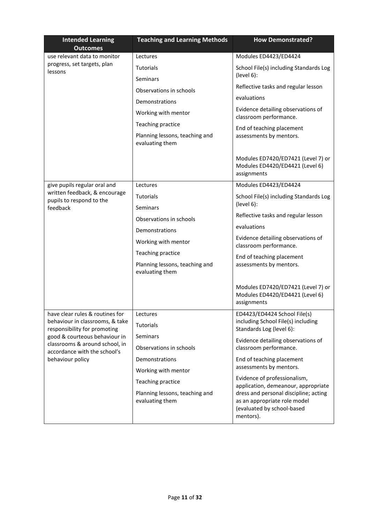| <b>Intended Learning</b><br><b>Outcomes</b>                                        | <b>Teaching and Learning Methods</b>              | <b>How Demonstrated?</b>                                                                                         |
|------------------------------------------------------------------------------------|---------------------------------------------------|------------------------------------------------------------------------------------------------------------------|
| use relevant data to monitor                                                       | Lectures                                          | Modules ED4423/ED4424                                                                                            |
| progress, set targets, plan<br>lessons                                             | <b>Tutorials</b>                                  | School File(s) including Standards Log                                                                           |
|                                                                                    | <b>Seminars</b>                                   | (level 6):                                                                                                       |
|                                                                                    | Observations in schools                           | Reflective tasks and regular lesson                                                                              |
|                                                                                    | Demonstrations                                    | evaluations                                                                                                      |
|                                                                                    | Working with mentor                               | Evidence detailing observations of<br>classroom performance.                                                     |
|                                                                                    | Teaching practice                                 |                                                                                                                  |
|                                                                                    | Planning lessons, teaching and<br>evaluating them | End of teaching placement<br>assessments by mentors.                                                             |
|                                                                                    |                                                   | Modules ED7420/ED7421 (Level 7) or<br>Modules ED4420/ED4421 (Level 6)<br>assignments                             |
| give pupils regular oral and                                                       | Lectures                                          | Modules ED4423/ED4424                                                                                            |
| written feedback, & encourage<br>pupils to respond to the                          | Tutorials                                         | School File(s) including Standards Log                                                                           |
| feedback                                                                           | <b>Seminars</b>                                   | (level 6):                                                                                                       |
|                                                                                    | Observations in schools                           | Reflective tasks and regular lesson                                                                              |
|                                                                                    | Demonstrations                                    | evaluations                                                                                                      |
|                                                                                    | Working with mentor                               | Evidence detailing observations of<br>classroom performance.                                                     |
|                                                                                    | Teaching practice                                 | End of teaching placement                                                                                        |
|                                                                                    | Planning lessons, teaching and<br>evaluating them | assessments by mentors.                                                                                          |
|                                                                                    |                                                   | Modules ED7420/ED7421 (Level 7) or<br>Modules ED4420/ED4421 (Level 6)<br>assignments                             |
| have clear rules & routines for                                                    | Lectures                                          | ED4423/ED4424 School File(s)                                                                                     |
| behaviour in classrooms, & take<br>responsibility for promoting                    | Tutorials                                         | including School File(s) including<br>Standards Log (level 6):                                                   |
| good & courteous behaviour in                                                      | Seminars                                          | Evidence detailing observations of                                                                               |
| classrooms & around school, in<br>accordance with the school's<br>behaviour policy | Observations in schools                           | classroom performance.                                                                                           |
|                                                                                    | Demonstrations                                    | End of teaching placement                                                                                        |
|                                                                                    | Working with mentor                               | assessments by mentors.                                                                                          |
|                                                                                    | Teaching practice                                 | Evidence of professionalism,<br>application, demeanour, appropriate                                              |
|                                                                                    | Planning lessons, teaching and<br>evaluating them | dress and personal discipline; acting<br>as an appropriate role model<br>(evaluated by school-based<br>mentors). |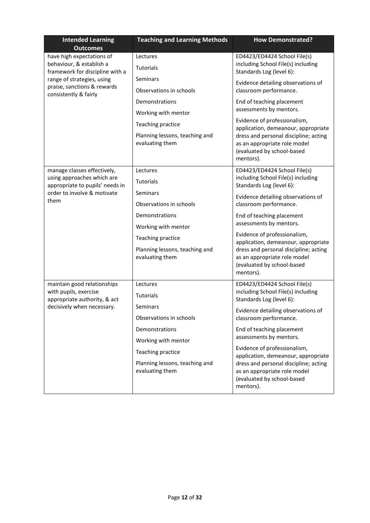| <b>Intended Learning</b><br><b>Outcomes</b>                                                                                                                                    | <b>Teaching and Learning Methods</b>                                                                                                                                            | <b>How Demonstrated?</b>                                                                                                                                                                                                                                                                                                                                                                                          |
|--------------------------------------------------------------------------------------------------------------------------------------------------------------------------------|---------------------------------------------------------------------------------------------------------------------------------------------------------------------------------|-------------------------------------------------------------------------------------------------------------------------------------------------------------------------------------------------------------------------------------------------------------------------------------------------------------------------------------------------------------------------------------------------------------------|
| have high expectations of<br>behaviour, & establish a<br>framework for discipline with a<br>range of strategies, using<br>praise, sanctions & rewards<br>consistently & fairly | Lectures<br><b>Tutorials</b>                                                                                                                                                    | ED4423/ED4424 School File(s)<br>including School File(s) including<br>Standards Log (level 6):                                                                                                                                                                                                                                                                                                                    |
|                                                                                                                                                                                | Seminars<br>Observations in schools<br>Demonstrations<br>Working with mentor<br>Teaching practice<br>Planning lessons, teaching and                                             | Evidence detailing observations of<br>classroom performance.<br>End of teaching placement<br>assessments by mentors.<br>Evidence of professionalism,<br>application, demeanour, appropriate<br>dress and personal discipline; acting                                                                                                                                                                              |
|                                                                                                                                                                                | evaluating them                                                                                                                                                                 | as an appropriate role model<br>(evaluated by school-based<br>mentors).                                                                                                                                                                                                                                                                                                                                           |
| manage classes effectively,<br>using approaches which are<br>appropriate to pupils' needs in<br>order to involve & motivate<br>them                                            | Lectures<br><b>Tutorials</b><br>Seminars                                                                                                                                        | ED4423/ED4424 School File(s)<br>including School File(s) including<br>Standards Log (level 6):<br>Evidence detailing observations of                                                                                                                                                                                                                                                                              |
|                                                                                                                                                                                | Observations in schools<br>Demonstrations<br>Working with mentor<br>Teaching practice<br>Planning lessons, teaching and<br>evaluating them                                      | classroom performance.<br>End of teaching placement<br>assessments by mentors.<br>Evidence of professionalism,<br>application, demeanour, appropriate<br>dress and personal discipline; acting<br>as an appropriate role model<br>(evaluated by school-based<br>mentors).                                                                                                                                         |
| maintain good relationships<br>with pupils, exercise<br>appropriate authority, & act<br>decisively when necessary.                                                             | Lectures<br>Tutorials<br>Seminars<br>Observations in schools<br>Demonstrations<br>Working with mentor<br>Teaching practice<br>Planning lessons, teaching and<br>evaluating them | ED4423/ED4424 School File(s)<br>including School File(s) including<br>Standards Log (level 6):<br>Evidence detailing observations of<br>classroom performance.<br>End of teaching placement<br>assessments by mentors.<br>Evidence of professionalism,<br>application, demeanour, appropriate<br>dress and personal discipline; acting<br>as an appropriate role model<br>(evaluated by school-based<br>mentors). |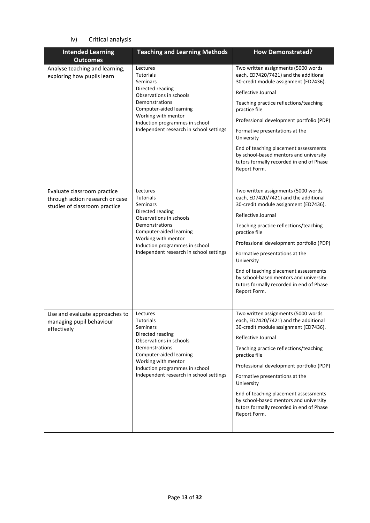# iv) Critical analysis

| <b>Intended Learning</b><br><b>Outcomes</b>                                                     | <b>Teaching and Learning Methods</b>                                                                                                                                                                                                     | <b>How Demonstrated?</b>                                                                                                                                                                                                                                                                                                                                                                                                                          |
|-------------------------------------------------------------------------------------------------|------------------------------------------------------------------------------------------------------------------------------------------------------------------------------------------------------------------------------------------|---------------------------------------------------------------------------------------------------------------------------------------------------------------------------------------------------------------------------------------------------------------------------------------------------------------------------------------------------------------------------------------------------------------------------------------------------|
| Analyse teaching and learning,<br>exploring how pupils learn                                    | Lectures<br><b>Tutorials</b><br>Seminars<br>Directed reading<br>Observations in schools<br>Demonstrations<br>Computer-aided learning<br>Working with mentor<br>Induction programmes in school<br>Independent research in school settings | Two written assignments (5000 words<br>each, ED7420/7421) and the additional<br>30-credit module assignment (ED7436).<br>Reflective Journal<br>Teaching practice reflections/teaching<br>practice file<br>Professional development portfolio (PDP)<br>Formative presentations at the<br>University<br>End of teaching placement assessments<br>by school-based mentors and university<br>tutors formally recorded in end of Phase<br>Report Form. |
| Evaluate classroom practice<br>through action research or case<br>studies of classroom practice | Lectures<br><b>Tutorials</b><br>Seminars<br>Directed reading<br>Observations in schools<br>Demonstrations<br>Computer-aided learning<br>Working with mentor<br>Induction programmes in school<br>Independent research in school settings | Two written assignments (5000 words<br>each, ED7420/7421) and the additional<br>30-credit module assignment (ED7436).<br>Reflective Journal<br>Teaching practice reflections/teaching<br>practice file<br>Professional development portfolio (PDP)<br>Formative presentations at the<br>University<br>End of teaching placement assessments<br>by school-based mentors and university<br>tutors formally recorded in end of Phase<br>Report Form. |
| Use and evaluate approaches to<br>managing pupil behaviour<br>effectively                       | Lectures<br><b>Tutorials</b><br>Seminars<br>Directed reading<br>Observations in schools<br>Demonstrations<br>Computer-aided learning<br>Working with mentor<br>Induction programmes in school<br>Independent research in school settings | Two written assignments (5000 words<br>each, ED7420/7421) and the additional<br>30-credit module assignment (ED7436).<br>Reflective Journal<br>Teaching practice reflections/teaching<br>practice file<br>Professional development portfolio (PDP)<br>Formative presentations at the<br>University<br>End of teaching placement assessments<br>by school-based mentors and university<br>tutors formally recorded in end of Phase<br>Report Form. |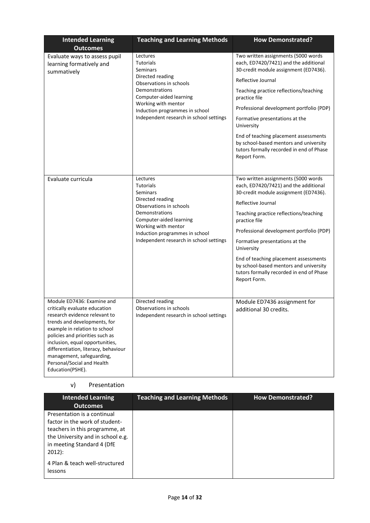| <b>Intended Learning</b>                                                                                                                                                                                                                                                                                                                                   | <b>Teaching and Learning Methods</b>                                                                                                                                                                                                     | <b>How Demonstrated?</b>                                                                                                                                                                                                                                                                                                                                                                                                                          |
|------------------------------------------------------------------------------------------------------------------------------------------------------------------------------------------------------------------------------------------------------------------------------------------------------------------------------------------------------------|------------------------------------------------------------------------------------------------------------------------------------------------------------------------------------------------------------------------------------------|---------------------------------------------------------------------------------------------------------------------------------------------------------------------------------------------------------------------------------------------------------------------------------------------------------------------------------------------------------------------------------------------------------------------------------------------------|
| <b>Outcomes</b><br>Evaluate ways to assess pupil<br>learning formatively and<br>summatively                                                                                                                                                                                                                                                                | Lectures<br><b>Tutorials</b><br>Seminars<br>Directed reading<br>Observations in schools<br>Demonstrations<br>Computer-aided learning<br>Working with mentor<br>Induction programmes in school<br>Independent research in school settings | Two written assignments (5000 words<br>each, ED7420/7421) and the additional<br>30-credit module assignment (ED7436).<br>Reflective Journal<br>Teaching practice reflections/teaching<br>practice file<br>Professional development portfolio (PDP)<br>Formative presentations at the<br>University<br>End of teaching placement assessments<br>by school-based mentors and university<br>tutors formally recorded in end of Phase<br>Report Form. |
| Evaluate curricula                                                                                                                                                                                                                                                                                                                                         | Lectures<br><b>Tutorials</b><br>Seminars<br>Directed reading<br>Observations in schools<br>Demonstrations<br>Computer-aided learning<br>Working with mentor<br>Induction programmes in school<br>Independent research in school settings | Two written assignments (5000 words<br>each, ED7420/7421) and the additional<br>30-credit module assignment (ED7436).<br>Reflective Journal<br>Teaching practice reflections/teaching<br>practice file<br>Professional development portfolio (PDP)<br>Formative presentations at the<br>University<br>End of teaching placement assessments<br>by school-based mentors and university<br>tutors formally recorded in end of Phase<br>Report Form. |
| Module ED7436: Examine and<br>critically evaluate education<br>research evidence relevant to<br>trends and developments, for<br>example in relation to school<br>policies and priorities such as<br>inclusion, equal opportunities,<br>differentiation, literacy, behaviour<br>management, safeguarding,<br>Personal/Social and Health<br>Education(PSHE). | Directed reading<br>Observations in schools<br>Independent research in school settings                                                                                                                                                   | Module ED7436 assignment for<br>additional 30 credits.                                                                                                                                                                                                                                                                                                                                                                                            |

### v) Presentation

| <b>Intended Learning</b><br><b>Outcomes</b>                                                                                                                                    | <b>Teaching and Learning Methods</b> | <b>How Demonstrated?</b> |
|--------------------------------------------------------------------------------------------------------------------------------------------------------------------------------|--------------------------------------|--------------------------|
| Presentation is a continual<br>factor in the work of student-<br>teachers in this programme, at<br>the University and in school e.g.<br>in meeting Standard 4 (DfE<br>$2012$ : |                                      |                          |
| 4 Plan & teach well-structured<br>lessons                                                                                                                                      |                                      |                          |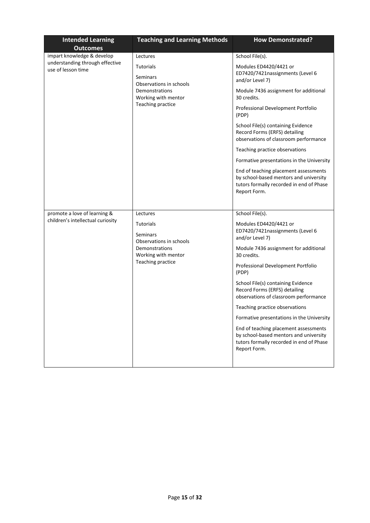| <b>Intended Learning</b>                                                            | <b>Teaching and Learning Methods</b>                                                                                  | <b>How Demonstrated?</b>                                                                                                                    |
|-------------------------------------------------------------------------------------|-----------------------------------------------------------------------------------------------------------------------|---------------------------------------------------------------------------------------------------------------------------------------------|
| <b>Outcomes</b>                                                                     |                                                                                                                       |                                                                                                                                             |
| impart knowledge & develop<br>understanding through effective<br>use of lesson time | Lectures                                                                                                              | School File(s).                                                                                                                             |
|                                                                                     | <b>Tutorials</b><br>Seminars<br>Observations in schools<br>Demonstrations<br>Working with mentor<br>Teaching practice | Modules ED4420/4421 or<br>ED7420/7421nassignments (Level 6<br>and/or Level 7)                                                               |
|                                                                                     |                                                                                                                       | Module 7436 assignment for additional<br>30 credits.                                                                                        |
|                                                                                     |                                                                                                                       | Professional Development Portfolio<br>(PDP)                                                                                                 |
|                                                                                     |                                                                                                                       | School File(s) containing Evidence<br>Record Forms (ERFS) detailing<br>observations of classroom performance                                |
|                                                                                     |                                                                                                                       | Teaching practice observations                                                                                                              |
|                                                                                     |                                                                                                                       | Formative presentations in the University                                                                                                   |
|                                                                                     |                                                                                                                       | End of teaching placement assessments<br>by school-based mentors and university<br>tutors formally recorded in end of Phase<br>Report Form. |
|                                                                                     |                                                                                                                       |                                                                                                                                             |
| promote a love of learning &                                                        | Lectures                                                                                                              | School File(s).                                                                                                                             |
| children's intellectual curiosity                                                   | <b>Tutorials</b><br>Seminars<br>Observations in schools                                                               | Modules ED4420/4421 or<br>ED7420/7421nassignments (Level 6<br>and/or Level 7)                                                               |
|                                                                                     | Demonstrations<br>Working with mentor                                                                                 | Module 7436 assignment for additional<br>30 credits.                                                                                        |
|                                                                                     | Teaching practice                                                                                                     | Professional Development Portfolio<br>(PDP)                                                                                                 |
|                                                                                     |                                                                                                                       | School File(s) containing Evidence<br>Record Forms (ERFS) detailing<br>observations of classroom performance                                |
|                                                                                     |                                                                                                                       | Teaching practice observations                                                                                                              |
|                                                                                     |                                                                                                                       | Formative presentations in the University                                                                                                   |
|                                                                                     |                                                                                                                       | End of teaching placement assessments<br>by school-based mentors and university<br>tutors formally recorded in end of Phase<br>Report Form. |
|                                                                                     |                                                                                                                       |                                                                                                                                             |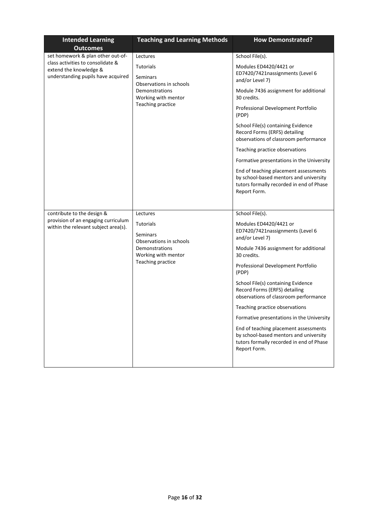| <b>Intended Learning</b>                                                                          | <b>Teaching and Learning Methods</b>                                                                           | <b>How Demonstrated?</b>                                                                                                                    |
|---------------------------------------------------------------------------------------------------|----------------------------------------------------------------------------------------------------------------|---------------------------------------------------------------------------------------------------------------------------------------------|
| <b>Outcomes</b><br>set homework & plan other out-of-                                              | Lectures                                                                                                       | School File(s).                                                                                                                             |
| class activities to consolidate &<br>extend the knowledge &<br>understanding pupils have acquired | Tutorials<br>Seminars<br>Observations in schools<br>Demonstrations<br>Working with mentor<br>Teaching practice | Modules ED4420/4421 or<br>ED7420/7421nassignments (Level 6<br>and/or Level 7)                                                               |
|                                                                                                   |                                                                                                                | Module 7436 assignment for additional<br>30 credits.                                                                                        |
|                                                                                                   |                                                                                                                | Professional Development Portfolio<br>(PDP)                                                                                                 |
|                                                                                                   |                                                                                                                | School File(s) containing Evidence<br>Record Forms (ERFS) detailing<br>observations of classroom performance                                |
|                                                                                                   |                                                                                                                | Teaching practice observations                                                                                                              |
|                                                                                                   |                                                                                                                | Formative presentations in the University                                                                                                   |
|                                                                                                   |                                                                                                                | End of teaching placement assessments<br>by school-based mentors and university<br>tutors formally recorded in end of Phase<br>Report Form. |
|                                                                                                   |                                                                                                                |                                                                                                                                             |
| contribute to the design &                                                                        | Lectures                                                                                                       | School File(s).                                                                                                                             |
| provision of an engaging curriculum<br>within the relevant subject area(s).                       | Tutorials<br>Seminars<br>Observations in schools                                                               | Modules ED4420/4421 or<br>ED7420/7421nassignments (Level 6<br>and/or Level 7)                                                               |
|                                                                                                   | Demonstrations<br>Working with mentor                                                                          | Module 7436 assignment for additional<br>30 credits.                                                                                        |
|                                                                                                   | Teaching practice                                                                                              | Professional Development Portfolio<br>(PDP)                                                                                                 |
|                                                                                                   |                                                                                                                | School File(s) containing Evidence<br>Record Forms (ERFS) detailing<br>observations of classroom performance                                |
|                                                                                                   |                                                                                                                | Teaching practice observations                                                                                                              |
|                                                                                                   |                                                                                                                | Formative presentations in the University                                                                                                   |
|                                                                                                   |                                                                                                                | End of teaching placement assessments<br>by school-based mentors and university<br>tutors formally recorded in end of Phase<br>Report Form. |
|                                                                                                   |                                                                                                                |                                                                                                                                             |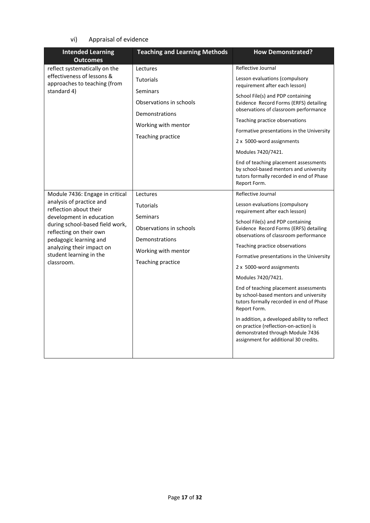vi) Appraisal of evidence

| <b>Intended Learning</b><br><b>Outcomes</b>                                                                                                                                                                                                                                     | <b>Teaching and Learning Methods</b>                                                                                              | <b>How Demonstrated?</b>                                                                                                                                                                                                                                                                                                                                                                                                                                                                                                                                                                                                                                             |
|---------------------------------------------------------------------------------------------------------------------------------------------------------------------------------------------------------------------------------------------------------------------------------|-----------------------------------------------------------------------------------------------------------------------------------|----------------------------------------------------------------------------------------------------------------------------------------------------------------------------------------------------------------------------------------------------------------------------------------------------------------------------------------------------------------------------------------------------------------------------------------------------------------------------------------------------------------------------------------------------------------------------------------------------------------------------------------------------------------------|
| reflect systematically on the<br>effectiveness of lessons &<br>approaches to teaching (from<br>standard 4)                                                                                                                                                                      | Lectures<br><b>Tutorials</b><br>Seminars<br>Observations in schools<br>Demonstrations<br>Working with mentor<br>Teaching practice | Reflective Journal<br>Lesson evaluations (compulsory<br>requirement after each lesson)<br>School File(s) and PDP containing<br>Evidence Record Forms (ERFS) detailing<br>observations of classroom performance<br>Teaching practice observations<br>Formative presentations in the University<br>2 x 5000-word assignments<br>Modules 7420/7421.<br>End of teaching placement assessments<br>by school-based mentors and university<br>tutors formally recorded in end of Phase<br>Report Form.                                                                                                                                                                      |
| Module 7436: Engage in critical<br>analysis of practice and<br>reflection about their<br>development in education<br>during school-based field work,<br>reflecting on their own<br>pedagogic learning and<br>analyzing their impact on<br>student learning in the<br>classroom. | Lectures<br>Tutorials<br>Seminars<br>Observations in schools<br>Demonstrations<br>Working with mentor<br>Teaching practice        | Reflective Journal<br>Lesson evaluations (compulsory<br>requirement after each lesson)<br>School File(s) and PDP containing<br>Evidence Record Forms (ERFS) detailing<br>observations of classroom performance<br>Teaching practice observations<br>Formative presentations in the University<br>2 x 5000-word assignments<br>Modules 7420/7421.<br>End of teaching placement assessments<br>by school-based mentors and university<br>tutors formally recorded in end of Phase<br>Report Form.<br>In addition, a developed ability to reflect<br>on practice (reflection-on-action) is<br>demonstrated through Module 7436<br>assignment for additional 30 credits. |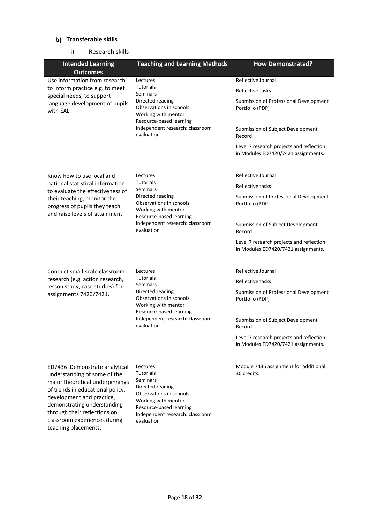## **Transferable skills**

### i) Research skills

| <b>Intended Learning</b><br><b>Outcomes</b>                                                                                                                                                                                                                                              | <b>Teaching and Learning Methods</b>                                                                                                                                                              | <b>How Demonstrated?</b>                                                                                                                                                                                                              |
|------------------------------------------------------------------------------------------------------------------------------------------------------------------------------------------------------------------------------------------------------------------------------------------|---------------------------------------------------------------------------------------------------------------------------------------------------------------------------------------------------|---------------------------------------------------------------------------------------------------------------------------------------------------------------------------------------------------------------------------------------|
| Use information from research<br>to inform practice e.g. to meet<br>special needs, to support<br>language development of pupils<br>with EAL.                                                                                                                                             | Lectures<br><b>Tutorials</b><br><b>Seminars</b><br>Directed reading<br>Observations in schools<br>Working with mentor<br>Resource-based learning<br>Independent research: classroom<br>evaluation | Reflective Journal<br>Reflective tasks<br>Submission of Professional Development<br>Portfolio (PDP)<br>Submission of Subject Development<br>Record<br>Level 7 research projects and reflection<br>in Modules ED7420/7421 assignments. |
| Know how to use local and<br>national statistical information<br>to evaluate the effectiveness of<br>their teaching, monitor the<br>progress of pupils they teach<br>and raise levels of attainment.                                                                                     | Lectures<br><b>Tutorials</b><br>Seminars<br>Directed reading<br>Observations in schools<br>Working with mentor<br>Resource-based learning<br>Independent research: classroom<br>evaluation        | Reflective Journal<br>Reflective tasks<br>Submission of Professional Development<br>Portfolio (PDP)<br>Submission of Subject Development<br>Record<br>Level 7 research projects and reflection<br>in Modules ED7420/7421 assignments. |
| Conduct small-scale classroom<br>research (e.g. action research,<br>lesson study, case studies) for<br>assignments 7420/7421.                                                                                                                                                            | Lectures<br><b>Tutorials</b><br>Seminars<br>Directed reading<br>Observations in schools<br>Working with mentor<br>Resource-based learning<br>Independent research: classroom<br>evaluation        | Reflective Journal<br>Reflective tasks<br>Submission of Professional Development<br>Portfolio (PDP)<br>Submission of Subject Development<br>Record<br>Level 7 research projects and reflection<br>in Modules ED7420/7421 assignments. |
| ED7436 Demonstrate analytical<br>understanding of some of the<br>major theoretical underpinnings<br>of trends in educational policy,<br>development and practice,<br>demonstrating understanding<br>through their reflections on<br>classroom experiences during<br>teaching placements. | Lectures<br><b>Tutorials</b><br>Seminars<br>Directed reading<br>Observations in schools<br>Working with mentor<br>Resource-based learning<br>Independent research: classroom<br>evaluation        | Module 7436 assignment for additional<br>30 credits.                                                                                                                                                                                  |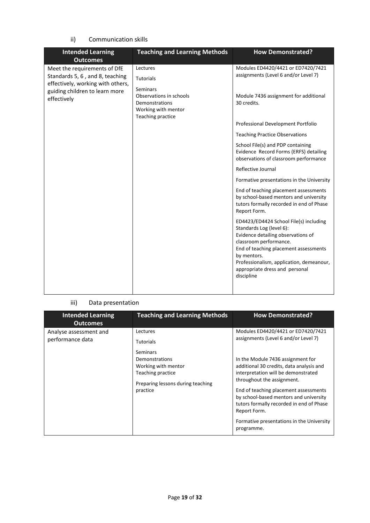ii) Communication skills

| <b>Intended Learning</b><br><b>Outcomes</b>                          | <b>Teaching and Learning Methods</b>                                                                     | <b>How Demonstrated?</b>                                                                                                                                                                                                                                                               |
|----------------------------------------------------------------------|----------------------------------------------------------------------------------------------------------|----------------------------------------------------------------------------------------------------------------------------------------------------------------------------------------------------------------------------------------------------------------------------------------|
| Meet the requirements of DfE                                         | Lectures                                                                                                 | Modules ED4420/4421 or ED7420/7421                                                                                                                                                                                                                                                     |
| Standards 5, 6, and 8, teaching<br>effectively, working with others, | <b>Tutorials</b>                                                                                         | assignments (Level 6 and/or Level 7)                                                                                                                                                                                                                                                   |
| guiding children to learn more<br>effectively                        | <b>Seminars</b><br>Observations in schools<br>Demonstrations<br>Working with mentor<br>Teaching practice | Module 7436 assignment for additional<br>30 credits.                                                                                                                                                                                                                                   |
|                                                                      |                                                                                                          | Professional Development Portfolio                                                                                                                                                                                                                                                     |
|                                                                      |                                                                                                          | <b>Teaching Practice Observations</b>                                                                                                                                                                                                                                                  |
|                                                                      |                                                                                                          | School File(s) and PDP containing<br>Evidence Record Forms (ERFS) detailing<br>observations of classroom performance                                                                                                                                                                   |
|                                                                      |                                                                                                          | Reflective Journal                                                                                                                                                                                                                                                                     |
|                                                                      |                                                                                                          | Formative presentations in the University                                                                                                                                                                                                                                              |
|                                                                      |                                                                                                          | End of teaching placement assessments<br>by school-based mentors and university<br>tutors formally recorded in end of Phase<br>Report Form.                                                                                                                                            |
|                                                                      |                                                                                                          | ED4423/ED4424 School File(s) including<br>Standards Log (level 6):<br>Evidence detailing observations of<br>classroom performance.<br>End of teaching placement assessments<br>by mentors.<br>Professionalism, application, demeanour,<br>appropriate dress and personal<br>discipline |

# iii) Data presentation

| <b>Intended Learning</b><br><b>Outcomes</b> | <b>Teaching and Learning Methods</b>                                                                                                                    | <b>How Demonstrated?</b>                                                                                                                                                                                                                                                                                                                                                                                                                   |
|---------------------------------------------|---------------------------------------------------------------------------------------------------------------------------------------------------------|--------------------------------------------------------------------------------------------------------------------------------------------------------------------------------------------------------------------------------------------------------------------------------------------------------------------------------------------------------------------------------------------------------------------------------------------|
| Analyse assessment and<br>performance data  | Lectures<br><b>Tutorials</b><br>Seminars<br>Demonstrations<br>Working with mentor<br>Teaching practice<br>Preparing lessons during teaching<br>practice | Modules ED4420/4421 or ED7420/7421<br>assignments (Level 6 and/or Level 7)<br>In the Module 7436 assignment for<br>additional 30 credits, data analysis and<br>interpretation will be demonstrated<br>throughout the assignment.<br>End of teaching placement assessments<br>by school-based mentors and university<br>tutors formally recorded in end of Phase<br>Report Form.<br>Formative presentations in the University<br>programme. |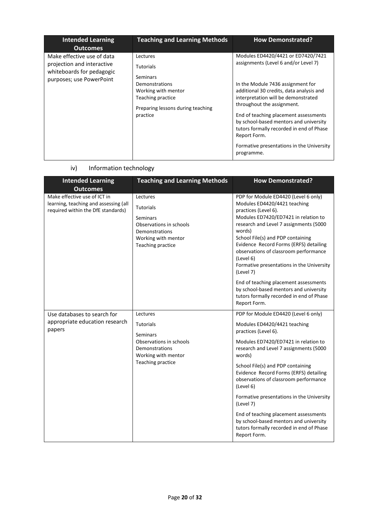| <b>Intended Learning</b><br><b>Outcomes</b>                                                                       | <b>Teaching and Learning Methods</b>                                                            | <b>How Demonstrated?</b>                                                                                                                           |
|-------------------------------------------------------------------------------------------------------------------|-------------------------------------------------------------------------------------------------|----------------------------------------------------------------------------------------------------------------------------------------------------|
| Make effective use of data<br>projection and interactive<br>whiteboards for pedagogic<br>purposes; use PowerPoint | Lectures<br><b>Tutorials</b><br>Seminars                                                        | Modules ED4420/4421 or ED7420/7421<br>assignments (Level 6 and/or Level 7)                                                                         |
|                                                                                                                   | Demonstrations<br>Working with mentor<br>Teaching practice<br>Preparing lessons during teaching | In the Module 7436 assignment for<br>additional 30 credits, data analysis and<br>interpretation will be demonstrated<br>throughout the assignment. |
|                                                                                                                   | practice                                                                                        | End of teaching placement assessments<br>by school-based mentors and university<br>tutors formally recorded in end of Phase<br>Report Form.        |
|                                                                                                                   |                                                                                                 | Formative presentations in the University<br>programme.                                                                                            |

# iv) Information technology

| <b>Intended Learning</b><br><b>Outcomes</b>                                                                 | <b>Teaching and Learning Methods</b>                                                                                              | <b>How Demonstrated?</b>                                                                                                                                                                                                                                                                                                                                                                |
|-------------------------------------------------------------------------------------------------------------|-----------------------------------------------------------------------------------------------------------------------------------|-----------------------------------------------------------------------------------------------------------------------------------------------------------------------------------------------------------------------------------------------------------------------------------------------------------------------------------------------------------------------------------------|
| Make effective use of ICT in<br>learning, teaching and assessing (all<br>required within the DfE standards) | Lectures<br><b>Tutorials</b><br>Seminars<br>Observations in schools<br>Demonstrations<br>Working with mentor<br>Teaching practice | PDP for Module ED4420 (Level 6 only)<br>Modules ED4420/4421 teaching<br>practices (Level 6).<br>Modules ED7420/ED7421 in relation to<br>research and Level 7 assignments (5000<br>words)<br>School File(s) and PDP containing<br>Evidence Record Forms (ERFS) detailing<br>observations of classroom performance<br>(Level 6)<br>Formative presentations in the University<br>(Level 7) |
|                                                                                                             |                                                                                                                                   | End of teaching placement assessments<br>by school-based mentors and university<br>tutors formally recorded in end of Phase<br>Report Form.                                                                                                                                                                                                                                             |
| Use databases to search for                                                                                 | Lectures                                                                                                                          | PDP for Module ED4420 (Level 6 only)                                                                                                                                                                                                                                                                                                                                                    |
| appropriate education research<br>papers                                                                    | <b>Tutorials</b>                                                                                                                  | Modules ED4420/4421 teaching<br>practices (Level 6).                                                                                                                                                                                                                                                                                                                                    |
|                                                                                                             | <b>Seminars</b><br>Observations in schools<br>Demonstrations<br>Working with mentor                                               | Modules ED7420/ED7421 in relation to<br>research and Level 7 assignments (5000<br>words)                                                                                                                                                                                                                                                                                                |
|                                                                                                             | Teaching practice                                                                                                                 | School File(s) and PDP containing<br>Evidence Record Forms (ERFS) detailing<br>observations of classroom performance<br>(Level 6)                                                                                                                                                                                                                                                       |
|                                                                                                             |                                                                                                                                   | Formative presentations in the University<br>(Level 7)                                                                                                                                                                                                                                                                                                                                  |
|                                                                                                             |                                                                                                                                   | End of teaching placement assessments<br>by school-based mentors and university<br>tutors formally recorded in end of Phase<br>Report Form.                                                                                                                                                                                                                                             |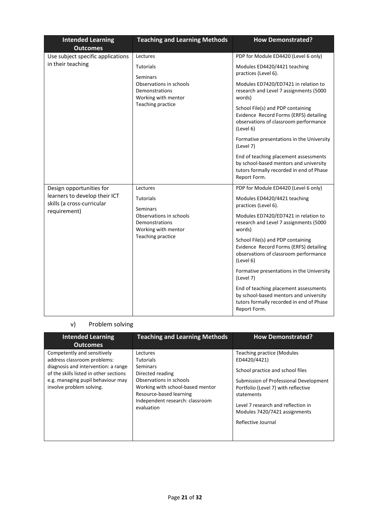| <b>Intended Learning</b><br><b>Outcomes</b>                 | <b>Teaching and Learning Methods</b>                                                  | <b>How Demonstrated?</b>                                                                                                                    |
|-------------------------------------------------------------|---------------------------------------------------------------------------------------|---------------------------------------------------------------------------------------------------------------------------------------------|
| Use subject specific applications                           | Lectures                                                                              | PDP for Module ED4420 (Level 6 only)                                                                                                        |
| in their teaching                                           | <b>Tutorials</b><br>Seminars                                                          | Modules ED4420/4421 teaching<br>practices (Level 6).                                                                                        |
|                                                             | Observations in schools<br>Demonstrations<br>Working with mentor<br>Teaching practice | Modules ED7420/ED7421 in relation to<br>research and Level 7 assignments (5000<br>words)                                                    |
|                                                             |                                                                                       | School File(s) and PDP containing<br>Evidence Record Forms (ERFS) detailing<br>observations of classroom performance<br>(Level 6)           |
|                                                             |                                                                                       | Formative presentations in the University<br>(Level 7)                                                                                      |
|                                                             |                                                                                       | End of teaching placement assessments<br>by school-based mentors and university<br>tutors formally recorded in end of Phase<br>Report Form. |
| Design opportunities for                                    | Lectures                                                                              | PDP for Module ED4420 (Level 6 only)                                                                                                        |
| learners to develop their ICT<br>skills (a cross-curricular | <b>Tutorials</b><br>Seminars                                                          | Modules ED4420/4421 teaching<br>practices (Level 6).                                                                                        |
| requirement)                                                | Observations in schools<br>Demonstrations<br>Working with mentor<br>Teaching practice | Modules ED7420/ED7421 in relation to<br>research and Level 7 assignments (5000<br>words)                                                    |
|                                                             |                                                                                       | School File(s) and PDP containing<br>Evidence Record Forms (ERFS) detailing<br>observations of classroom performance<br>(Level 6)           |
|                                                             |                                                                                       | Formative presentations in the University<br>(Level 7)                                                                                      |
|                                                             |                                                                                       | End of teaching placement assessments<br>by school-based mentors and university<br>tutors formally recorded in end of Phase<br>Report Form. |

# v) Problem solving

| <b>Intended Learning</b><br><b>Outcomes</b>                                                                                                                                                                  | <b>Teaching and Learning Methods</b>                                                                                                                                                                           | <b>How Demonstrated?</b>                                                                                                                                                                                                                                                          |
|--------------------------------------------------------------------------------------------------------------------------------------------------------------------------------------------------------------|----------------------------------------------------------------------------------------------------------------------------------------------------------------------------------------------------------------|-----------------------------------------------------------------------------------------------------------------------------------------------------------------------------------------------------------------------------------------------------------------------------------|
| Competently and sensitively<br>address classroom problems:<br>diagnosis and intervention: a range<br>of the skills listed in other sections<br>e.g. managing pupil behaviour may<br>involve problem solving. | Lectures<br><b>Tutorials</b><br><b>Seminars</b><br>Directed reading<br>Observations in schools<br>Working with school-based mentor<br>Resource-based learning<br>Independent research: classroom<br>evaluation | <b>Teaching practice (Modules</b><br>ED4420/4421)<br>School practice and school files<br>Submission of Professional Development<br>Portfolio (Level 7) with reflective<br>statements<br>Level 7 research and reflection in<br>Modules 7420/7421 assignments<br>Reflective Journal |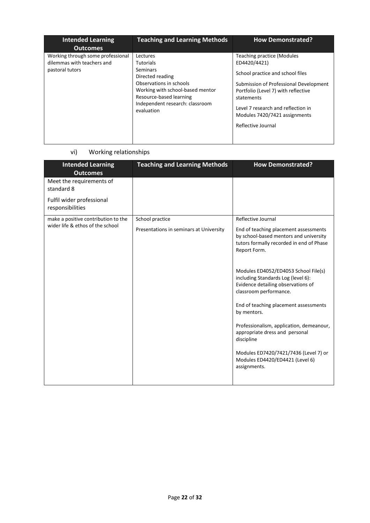| <b>Intended Learning</b><br><b>Outcomes</b>                                        | <b>Teaching and Learning Methods</b>                                                                                                                                                                    | <b>How Demonstrated?</b>                                                                                                                                                                                                                                                          |
|------------------------------------------------------------------------------------|---------------------------------------------------------------------------------------------------------------------------------------------------------------------------------------------------------|-----------------------------------------------------------------------------------------------------------------------------------------------------------------------------------------------------------------------------------------------------------------------------------|
| Working through some professional<br>dilemmas with teachers and<br>pastoral tutors | Lectures<br><b>Tutorials</b><br>Seminars<br>Directed reading<br>Observations in schools<br>Working with school-based mentor<br>Resource-based learning<br>Independent research: classroom<br>evaluation | <b>Teaching practice (Modules</b><br>ED4420/4421)<br>School practice and school files<br>Submission of Professional Development<br>Portfolio (Level 7) with reflective<br>statements<br>Level 7 research and reflection in<br>Modules 7420/7421 assignments<br>Reflective Journal |

# vi) Working relationships

| <b>Intended Learning</b><br><b>Outcomes</b>   | <b>Teaching and Learning Methods</b>    | <b>How Demonstrated?</b>                                                                                                                    |
|-----------------------------------------------|-----------------------------------------|---------------------------------------------------------------------------------------------------------------------------------------------|
| Meet the requirements of<br>standard 8        |                                         |                                                                                                                                             |
| Fulfil wider professional<br>responsibilities |                                         |                                                                                                                                             |
| make a positive contribution to the           | School practice                         | Reflective Journal                                                                                                                          |
| wider life & ethos of the school              | Presentations in seminars at University | End of teaching placement assessments<br>by school-based mentors and university<br>tutors formally recorded in end of Phase<br>Report Form. |
|                                               |                                         | Modules ED4052/ED4053 School File(s)<br>including Standards Log (level 6):<br>Evidence detailing observations of<br>classroom performance.  |
|                                               |                                         | End of teaching placement assessments<br>by mentors.                                                                                        |
|                                               |                                         | Professionalism, application, demeanour,<br>appropriate dress and personal<br>discipline                                                    |
|                                               |                                         | Modules ED7420/7421/7436 (Level 7) or<br>Modules ED4420/ED4421 (Level 6)<br>assignments.                                                    |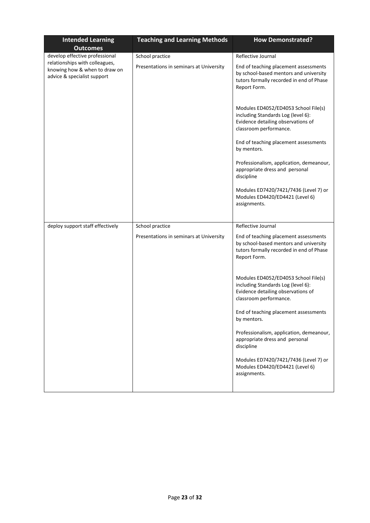| <b>Intended Learning</b>                                                                       | <b>Teaching and Learning Methods</b>    | <b>How Demonstrated?</b>                                                                                                                    |  |
|------------------------------------------------------------------------------------------------|-----------------------------------------|---------------------------------------------------------------------------------------------------------------------------------------------|--|
| <b>Outcomes</b>                                                                                |                                         |                                                                                                                                             |  |
| develop effective professional                                                                 | School practice                         | Reflective Journal                                                                                                                          |  |
| relationships with colleagues,<br>knowing how & when to draw on<br>advice & specialist support | Presentations in seminars at University | End of teaching placement assessments<br>by school-based mentors and university<br>tutors formally recorded in end of Phase<br>Report Form. |  |
|                                                                                                |                                         | Modules ED4052/ED4053 School File(s)<br>including Standards Log (level 6):<br>Evidence detailing observations of<br>classroom performance.  |  |
|                                                                                                |                                         | End of teaching placement assessments<br>by mentors.                                                                                        |  |
|                                                                                                |                                         | Professionalism, application, demeanour,<br>appropriate dress and personal<br>discipline                                                    |  |
|                                                                                                |                                         | Modules ED7420/7421/7436 (Level 7) or<br>Modules ED4420/ED4421 (Level 6)<br>assignments.                                                    |  |
|                                                                                                |                                         |                                                                                                                                             |  |
| deploy support staff effectively                                                               | School practice                         | Reflective Journal                                                                                                                          |  |
|                                                                                                | Presentations in seminars at University | End of teaching placement assessments<br>by school-based mentors and university<br>tutors formally recorded in end of Phase<br>Report Form. |  |
|                                                                                                |                                         | Modules ED4052/ED4053 School File(s)<br>including Standards Log (level 6):<br>Evidence detailing observations of<br>classroom performance.  |  |
|                                                                                                |                                         | End of teaching placement assessments<br>by mentors.                                                                                        |  |
|                                                                                                |                                         | Professionalism, application, demeanour,<br>appropriate dress and personal<br>discipline                                                    |  |
|                                                                                                |                                         | Modules ED7420/7421/7436 (Level 7) or<br>Modules ED4420/ED4421 (Level 6)<br>assignments.                                                    |  |
|                                                                                                |                                         |                                                                                                                                             |  |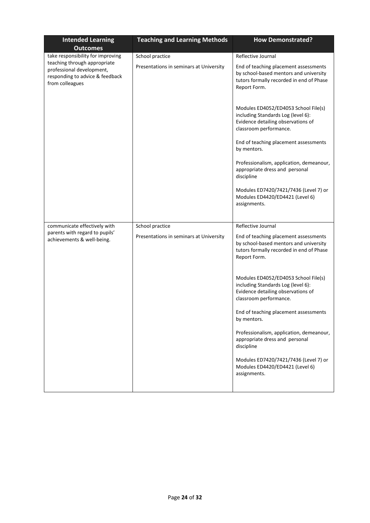| <b>Intended Learning</b><br><b>Outcomes</b>                                                                     | <b>Teaching and Learning Methods</b>    | <b>How Demonstrated?</b>                                                                                                                    |
|-----------------------------------------------------------------------------------------------------------------|-----------------------------------------|---------------------------------------------------------------------------------------------------------------------------------------------|
| take responsibility for improving                                                                               | School practice                         | Reflective Journal                                                                                                                          |
| teaching through appropriate<br>professional development,<br>responding to advice & feedback<br>from colleagues | Presentations in seminars at University | End of teaching placement assessments<br>by school-based mentors and university<br>tutors formally recorded in end of Phase<br>Report Form. |
|                                                                                                                 |                                         | Modules ED4052/ED4053 School File(s)<br>including Standards Log (level 6):<br>Evidence detailing observations of<br>classroom performance.  |
|                                                                                                                 |                                         | End of teaching placement assessments<br>by mentors.                                                                                        |
|                                                                                                                 |                                         | Professionalism, application, demeanour,<br>appropriate dress and personal<br>discipline                                                    |
|                                                                                                                 |                                         | Modules ED7420/7421/7436 (Level 7) or<br>Modules ED4420/ED4421 (Level 6)<br>assignments.                                                    |
|                                                                                                                 |                                         |                                                                                                                                             |
| communicate effectively with<br>parents with regard to pupils'                                                  | School practice                         | Reflective Journal                                                                                                                          |
| achievements & well-being.                                                                                      | Presentations in seminars at University | End of teaching placement assessments<br>by school-based mentors and university<br>tutors formally recorded in end of Phase<br>Report Form. |
|                                                                                                                 |                                         | Modules ED4052/ED4053 School File(s)<br>including Standards Log (level 6):<br>Evidence detailing observations of<br>classroom performance.  |
|                                                                                                                 |                                         | End of teaching placement assessments<br>by mentors.                                                                                        |
|                                                                                                                 |                                         | Professionalism, application, demeanour,<br>appropriate dress and personal<br>discipline                                                    |
|                                                                                                                 |                                         | Modules ED7420/7421/7436 (Level 7) or<br>Modules ED4420/ED4421 (Level 6)<br>assignments.                                                    |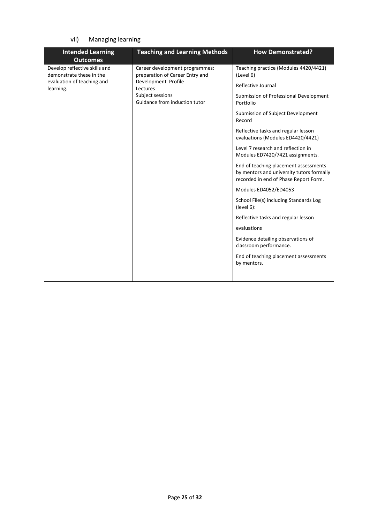# vii) Managing learning

| <b>Intended Learning</b><br><b>Outcomes</b>                                                          | <b>Teaching and Learning Methods</b>                                                                                                                      | <b>How Demonstrated?</b>                                                                                                                                                                                                                                                                                                                                                                                                                                                                                                                                                                                                                                                   |
|------------------------------------------------------------------------------------------------------|-----------------------------------------------------------------------------------------------------------------------------------------------------------|----------------------------------------------------------------------------------------------------------------------------------------------------------------------------------------------------------------------------------------------------------------------------------------------------------------------------------------------------------------------------------------------------------------------------------------------------------------------------------------------------------------------------------------------------------------------------------------------------------------------------------------------------------------------------|
| Develop reflective skills and<br>demonstrate these in the<br>evaluation of teaching and<br>learning. | Career development programmes:<br>preparation of Career Entry and<br>Development Profile<br>Lectures<br>Subject sessions<br>Guidance from induction tutor | Teaching practice (Modules 4420/4421)<br>(Level 6)<br>Reflective Journal<br>Submission of Professional Development<br>Portfolio<br>Submission of Subject Development<br>Record<br>Reflective tasks and regular lesson<br>evaluations (Modules ED4420/4421)<br>Level 7 research and reflection in<br>Modules ED7420/7421 assignments.<br>End of teaching placement assessments<br>by mentors and university tutors formally<br>recorded in end of Phase Report Form.<br>Modules ED4052/ED4053<br>School File(s) including Standards Log<br>(level 6):<br>Reflective tasks and regular lesson<br>evaluations<br>Evidence detailing observations of<br>classroom performance. |
|                                                                                                      |                                                                                                                                                           | End of teaching placement assessments<br>by mentors.                                                                                                                                                                                                                                                                                                                                                                                                                                                                                                                                                                                                                       |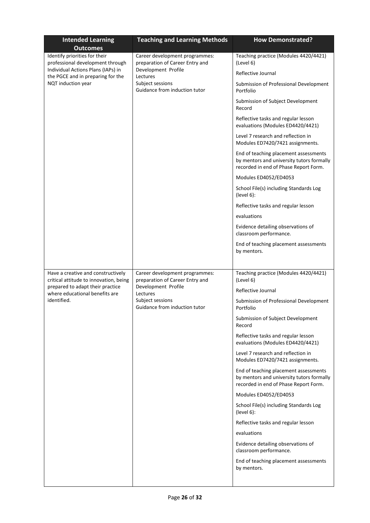| <b>Intended Learning</b>                                                     | <b>Teaching and Learning Methods</b>                              | <b>How Demonstrated?</b>                                                                                                    |
|------------------------------------------------------------------------------|-------------------------------------------------------------------|-----------------------------------------------------------------------------------------------------------------------------|
| <b>Outcomes</b>                                                              |                                                                   |                                                                                                                             |
| Identify priorities for their<br>professional development through            | Career development programmes:<br>preparation of Career Entry and | Teaching practice (Modules 4420/4421)<br>(Level 6)                                                                          |
| Individual Actions Plans (IAPs) in                                           | Development Profile                                               |                                                                                                                             |
| the PGCE and in preparing for the                                            | Lectures                                                          | Reflective Journal                                                                                                          |
| NQT induction year                                                           | Subject sessions<br>Guidance from induction tutor                 | Submission of Professional Development<br>Portfolio                                                                         |
|                                                                              |                                                                   | Submission of Subject Development<br>Record                                                                                 |
|                                                                              |                                                                   | Reflective tasks and regular lesson<br>evaluations (Modules ED4420/4421)                                                    |
|                                                                              |                                                                   | Level 7 research and reflection in<br>Modules ED7420/7421 assignments.                                                      |
|                                                                              |                                                                   | End of teaching placement assessments<br>by mentors and university tutors formally<br>recorded in end of Phase Report Form. |
|                                                                              |                                                                   | Modules ED4052/ED4053                                                                                                       |
|                                                                              |                                                                   | School File(s) including Standards Log<br>(level 6):                                                                        |
|                                                                              |                                                                   | Reflective tasks and regular lesson                                                                                         |
|                                                                              |                                                                   | evaluations                                                                                                                 |
|                                                                              |                                                                   | Evidence detailing observations of<br>classroom performance.                                                                |
|                                                                              |                                                                   | End of teaching placement assessments<br>by mentors.                                                                        |
|                                                                              |                                                                   |                                                                                                                             |
| Have a creative and constructively<br>critical attitude to innovation, being | Career development programmes:<br>preparation of Career Entry and | Teaching practice (Modules 4420/4421)<br>(Level 6)                                                                          |
| prepared to adapt their practice<br>where educational benefits are           | Development Profile<br>Lectures                                   | Reflective Journal                                                                                                          |
| identified.                                                                  | Subject sessions<br>Guidance from induction tutor                 | Submission of Professional Development<br>Portfolio                                                                         |
|                                                                              |                                                                   | Submission of Subject Development<br>Record                                                                                 |
|                                                                              |                                                                   | Reflective tasks and regular lesson<br>evaluations (Modules ED4420/4421)                                                    |
|                                                                              |                                                                   | Level 7 research and reflection in<br>Modules ED7420/7421 assignments.                                                      |
|                                                                              |                                                                   | End of teaching placement assessments<br>by mentors and university tutors formally<br>recorded in end of Phase Report Form. |
|                                                                              |                                                                   | Modules ED4052/ED4053                                                                                                       |
|                                                                              |                                                                   | School File(s) including Standards Log<br>(level 6):                                                                        |
|                                                                              |                                                                   | Reflective tasks and regular lesson                                                                                         |
|                                                                              |                                                                   | evaluations                                                                                                                 |
|                                                                              |                                                                   |                                                                                                                             |
|                                                                              |                                                                   | Evidence detailing observations of<br>classroom performance.                                                                |
|                                                                              |                                                                   | End of teaching placement assessments<br>by mentors.                                                                        |
|                                                                              |                                                                   |                                                                                                                             |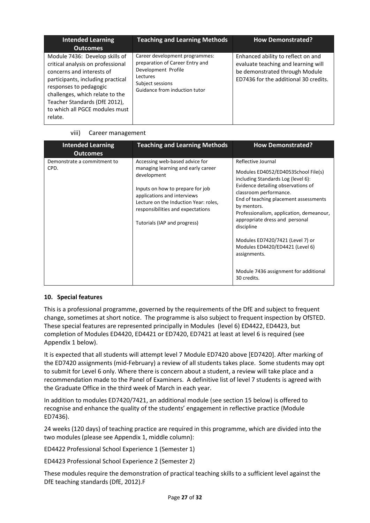| <b>Intended Learning</b><br><b>Outcomes</b>                                                                                                                                                                                                                                      | <b>Teaching and Learning Methods</b>                                                                                                                      | <b>How Demonstrated?</b>                                                                                                                             |
|----------------------------------------------------------------------------------------------------------------------------------------------------------------------------------------------------------------------------------------------------------------------------------|-----------------------------------------------------------------------------------------------------------------------------------------------------------|------------------------------------------------------------------------------------------------------------------------------------------------------|
| Module 7436: Develop skills of<br>critical analysis on professional<br>concerns and interests of<br>participants, including practical<br>responses to pedagogic<br>challenges, which relate to the<br>Teacher Standards (DfE 2012),<br>to which all PGCE modules must<br>relate. | Career development programmes:<br>preparation of Career Entry and<br>Development Profile<br>Lectures<br>Subject sessions<br>Guidance from induction tutor | Enhanced ability to reflect on and<br>evaluate teaching and learning will<br>be demonstrated through Module<br>ED7436 for the additional 30 credits. |

### viii) Career management

| <b>Intended Learning</b><br><b>Outcomes</b> | <b>Teaching and Learning Methods</b>                                                                                                                                                                                                                                 | <b>How Demonstrated?</b>                                                                                                                                                                                                                                                                                                                                                                                                                                           |
|---------------------------------------------|----------------------------------------------------------------------------------------------------------------------------------------------------------------------------------------------------------------------------------------------------------------------|--------------------------------------------------------------------------------------------------------------------------------------------------------------------------------------------------------------------------------------------------------------------------------------------------------------------------------------------------------------------------------------------------------------------------------------------------------------------|
| Demonstrate a commitment to<br>CPD.         | Accessing web-based advice for<br>managing learning and early career<br>development<br>Inputs on how to prepare for job<br>applications and interviews<br>Lecture on the Induction Year: roles,<br>responsibilities and expectations<br>Tutorials (IAP and progress) | Reflective Journal<br>Modules ED4052/ED4053School File(s)<br>including Standards Log (level 6):<br>Evidence detailing observations of<br>classroom performance.<br>End of teaching placement assessments<br>by mentors.<br>Professionalism, application, demeanour,<br>appropriate dress and personal<br>discipline<br>Modules ED7420/7421 (Level 7) or<br>Modules ED4420/ED4421 (Level 6)<br>assignments.<br>Module 7436 assignment for additional<br>30 credits. |

### **10. Special features**

This is a professional programme, governed by the requirements of the DfE and subject to frequent change, sometimes at short notice. The programme is also subject to frequent inspection by OfSTED. These special features are represented principally in Modules (level 6) ED4422, ED4423, but completion of Modules ED4420, ED4421 or ED7420, ED7421 at least at level 6 is required (see Appendix 1 below).

It is expected that all students will attempt level 7 Module ED7420 above [ED7420]. After marking of the ED7420 assignments (mid-February) a review of all students takes place. Some students may opt to submit for Level 6 only. Where there is concern about a student, a review will take place and a recommendation made to the Panel of Examiners. A definitive list of level 7 students is agreed with the Graduate Office in the third week of March in each year.

In addition to modules ED7420/7421, an additional module (see section 15 below) is offered to recognise and enhance the quality of the students' engagement in reflective practice (Module ED7436).

24 weeks (120 days) of teaching practice are required in this programme, which are divided into the two modules (please see Appendix 1, middle column):

ED4422 Professional School Experience 1 (Semester 1)

ED4423 Professional School Experience 2 (Semester 2)

These modules require the demonstration of practical teaching skills to a sufficient level against the DfE teaching standards (DfE, 2012).F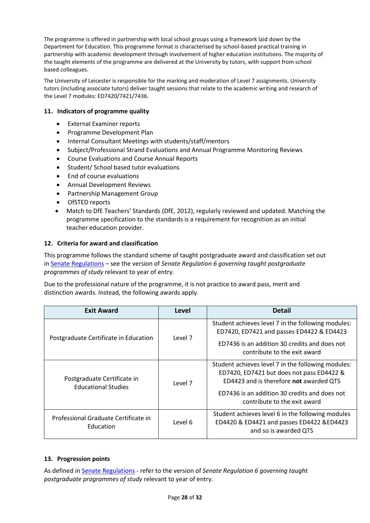The programme is offered in partnership with local school groups using a framework laid down by the Department for Education. This programme format is characterised by school-based practical training in partnership with academic development through involvement of higher education institutions. The majority of the taught elements of the programme are delivered at the University by tutors, with support from school based colleagues.

The University of Leicester is responsible for the marking and moderation of Level 7 assignments. University tutors (including associate tutors) deliver taught sessions that relate to the academic writing and research of the Level 7 modules: ED7420/7421/7436.

### **11. Indicators of programme quality**

- External Examiner reports
- Programme Development Plan
- Internal Consultant Meetings with students/staff/mentors
- Subject/Professional Strand Evaluations and Annual Programme Monitoring Reviews
- Course Evaluations and Course Annual Reports
- Student/ School based tutor evaluations
- End of course evaluations
- Annual Development Reviews
- Partnership Management Group
- OfSTED reports
- Match to DfE Teachers' Standards (DfE, 2012), regularly reviewed and updated. Matching the programme specification to the standards is a requirement for recognition as an initial teacher education provider.

### **12. Criteria for award and classification**

This programme follows the standard scheme of taught postgraduate award and classification set out i[n Senate Regulations](http://www.le.ac.uk/senate-regulations) – see the version of *Senate Regulation 6 governing taught postgraduate programmes of study* relevant to year of entry.

Due to the professional nature of the programme, it is not practice to award pass, merit and distinction awards. Instead, the following awards apply.

| <b>Exit Award</b>                                         | Level   | <b>Detail</b>                                                                                                                                                                                                               |
|-----------------------------------------------------------|---------|-----------------------------------------------------------------------------------------------------------------------------------------------------------------------------------------------------------------------------|
| Postgraduate Certificate in Education                     | Level 7 | Student achieves level 7 in the following modules:<br>ED7420, ED7421 and passes ED4422 & ED4423<br>ED7436 is an addition 30 credits and does not<br>contribute to the exit award                                            |
| Postgraduate Certificate in<br><b>Educational Studies</b> | Level 7 | Student achieves level 7 in the following modules:<br>ED7420, ED7421 but does not pass ED4422 &<br>ED4423 and is therefore not awarded QTS<br>ED7436 is an addition 30 credits and does not<br>contribute to the exit award |
| Professional Graduate Certificate in<br>Education         | Level 6 | Student achieves level 6 in the following modules<br>ED4420 & ED4421 and passes ED4422 &ED4423<br>and so is awarded QTS                                                                                                     |

### **13. Progression points**

As defined i[n Senate Regulations](http://www.le.ac.uk/senate-regulation6) - refer to the version of *Senate Regulation 6 governing taught postgraduate programmes of study* relevant to year of entry.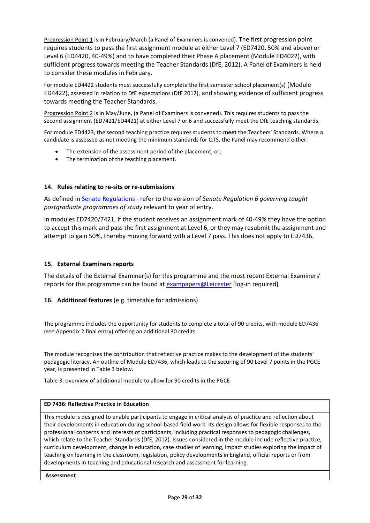Progression Point 1 is in February/March (a Panel of Examiners is convened). The first progression point requires students to pass the first assignment module at either Level 7 (ED7420, 50% and above) or Level 6 (ED4420, 40-49%) and to have completed their Phase A placement (Module ED4022), with sufficient progress towards meeting the Teacher Standards (DfE, 2012). A Panel of Examiners is held to consider these modules in February.

For module ED4422 students must successfully complete the first semester school placement(s) (Module ED4422), assessed in relation to DfE expectations (DfE 2012), and showing evidence of sufficient progress towards meeting the Teacher Standards.

Progression Point 2 is in May/June, (a Panel of Examiners is convened). This requires students to pass the second assignment (ED7421/ED4421) at either Level 7 or 6 and successfully meet the DfE teaching standards.

For module ED4423, the second teaching practice requires students to **meet** the Teachers' Standards. Where a candidate is assessed as not meeting the minimum standards for QTS, the Panel may recommend either:

- The extension of the assessment period of the placement, or;
- The termination of the teaching placement.

#### **14. Rules relating to re-sits or re-submissions**

As defined i[n Senate Regulations](http://www.le.ac.uk/senate-regulation6) - refer to the version of *Senate Regulation 6 governing taught postgraduate programmes of study* relevant to year of entry.

In modules ED7420/7421, if the student receives an assignment mark of 40-49% they have the option to accept this mark and pass the first assignment at Level 6, or they may resubmit the assignment and attempt to gain 50%, thereby moving forward with a Level 7 pass. This does not apply to ED7436.

#### **15. External Examiners reports**

The details of the External Examiner(s) for this programme and the most recent External Examiners' reports for this programme can be found at **exampapers@Leicester** [log-in required]

### **16. Additional features** (e.g. timetable for admissions)

The programme includes the opportunity for students to complete a total of 90 credits, with module ED7436 (see Appendix 2 final entry) offering an additional 30 credits.

The module recognises the contribution that reflective practice makes to the development of the students' pedagogic literacy. An outline of Module ED7436, which leads to the securing of 90 Level 7 points in the PGCE year, is presented in Table 3 below.

Table 3: overview of additional module to allow for 90 credits in the PGCE

#### **ED 7436: Reflective Practice in Education**

This module is designed to enable participants to engage in critical analysis of practice and reflection about their developments in education during school-based field work. Its design allows for flexible responses to the professional concerns and interests of participants, including practical responses to pedagogic challenges, which relate to the Teacher Standards (DfE, 2012). Issues considered in the module include reflective practice, curriculum development, change in education, case studies of learning, impact studies exploring the impact of teaching on learning in the classroom, legislation, policy developments in England, official reports or from developments in teaching and educational research and assessment for learning.

**Assessment**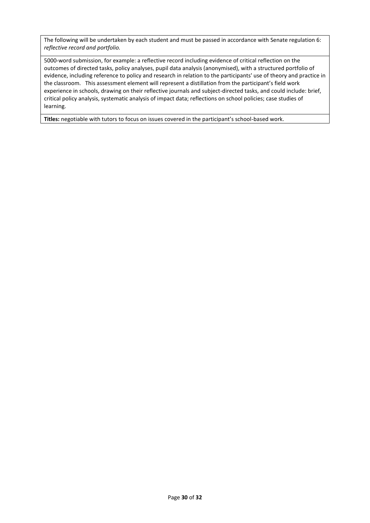The following will be undertaken by each student and must be passed in accordance with Senate regulation 6: *reflective record and portfolio.*

5000-word submission, for example: a reflective record including evidence of critical reflection on the outcomes of directed tasks, policy analyses, pupil data analysis (anonymised), with a structured portfolio of evidence, including reference to policy and research in relation to the participants' use of theory and practice in the classroom. This assessment element will represent a distillation from the participant's field work experience in schools, drawing on their reflective journals and subject-directed tasks, and could include: brief, critical policy analysis, systematic analysis of impact data; reflections on school policies; case studies of learning.

**Titles:** negotiable with tutors to focus on issues covered in the participant's school-based work.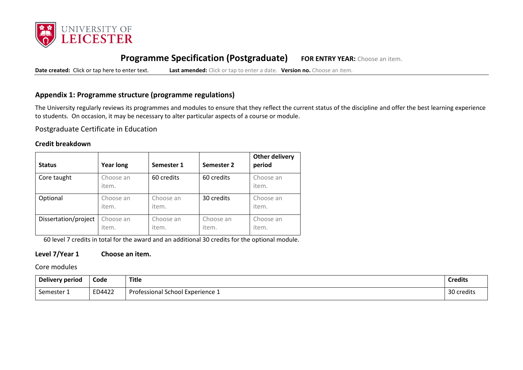

# **Programme Specification (Postgraduate) FOR ENTRY YEAR:** Choose an item.

**Date created:** Click or tap here to enter text. **Last amended:** Click or tap to enter a date. **Version no.** Choose an item.

## **Appendix 1: Programme structure (programme regulations)**

The University regularly reviews its programmes and modules to ensure that they reflect the current status of the discipline and offer the best learning experience to students. On occasion, it may be necessary to alter particular aspects of a course or module.

Postgraduate Certificate in Education

### **Credit breakdown**

| <b>Status</b>        | <b>Year long</b>   | Semester 1         | Semester 2         | <b>Other delivery</b><br>period |
|----------------------|--------------------|--------------------|--------------------|---------------------------------|
| Core taught          | Choose an<br>item. | 60 credits         | 60 credits         | Choose an<br>item.              |
| Optional             | Choose an<br>item. | Choose an<br>item. | 30 credits         | Choose an<br>item.              |
| Dissertation/project | Choose an<br>item. | Choose an<br>item. | Choose an<br>item. | Choose an<br>item.              |

60 level 7 credits in total for the award and an additional 30 credits for the optional module.

### **Level 7/Year 1 Choose an item.**

Core modules

| <b>Delivery period</b> | Code   | <b>Title</b>                     | <b>Credits</b> |
|------------------------|--------|----------------------------------|----------------|
| Semester 1             | ED4422 | Professional School Experience 1 | 30 credits     |